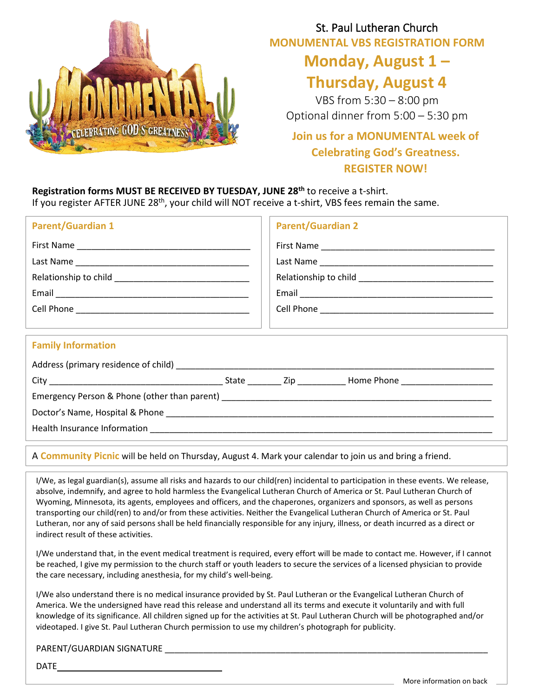

## St. Paul Lutheran Church **MONUMENTAL VBS REGISTRATION FORM**

# **Monday, August 1 –**

## **Thursday, August 4**

VBS from 5:30 – 8:00 pm Optional dinner from 5:00 – 5:30 pm

### **Join us for a MONUMENTAL week of Celebrating God's Greatness. REGISTER NOW!**

**Registration forms MUST BE RECEIVED BY TUESDAY, JUNE 28th** to receive a t-shirt. If you register AFTER JUNE 28<sup>th</sup>, your child will NOT receive a t-shirt, VBS fees remain the same.

| <b>Parent/Guardian 1</b>                                                         | <b>Parent/Guardian 2</b> |  |
|----------------------------------------------------------------------------------|--------------------------|--|
|                                                                                  |                          |  |
|                                                                                  |                          |  |
|                                                                                  |                          |  |
|                                                                                  |                          |  |
|                                                                                  |                          |  |
| ,我们也不会有什么。""我们的人,我们也不会有什么?""我们的人,我们也不会有什么?""我们的人,我们也不会有什么?""我们的人,我们也不会有什么?""我们的人 |                          |  |
| <b>Family Information</b>                                                        |                          |  |
|                                                                                  |                          |  |
|                                                                                  |                          |  |
|                                                                                  |                          |  |
|                                                                                  |                          |  |
|                                                                                  |                          |  |
|                                                                                  |                          |  |

### A **Community Picnic** will be held on Thursday, August 4. Mark your calendar to join us and bring a friend.

I/We, as legal guardian(s), assume all risks and hazards to our child(ren) incidental to participation in these events. We release, absolve, indemnify, and agree to hold harmless the Evangelical Lutheran Church of America or St. Paul Lutheran Church of Wyoming, Minnesota, its agents, employees and officers, and the chaperones, organizers and sponsors, as well as persons transporting our child(ren) to and/or from these activities. Neither the Evangelical Lutheran Church of America or St. Paul Lutheran, nor any of said persons shall be held financially responsible for any injury, illness, or death incurred as a direct or indirect result of these activities.

I/We understand that, in the event medical treatment is required, every effort will be made to contact me. However, if I cannot be reached, I give my permission to the church staff or youth leaders to secure the services of a licensed physician to provide the care necessary, including anesthesia, for my child's well-being.

I/We also understand there is no medical insurance provided by St. Paul Lutheran or the Evangelical Lutheran Church of America. We the undersigned have read this release and understand all its terms and execute it voluntarily and with full knowledge of its significance. All children signed up for the activities at St. Paul Lutheran Church will be photographed and/or videotaped. I give St. Paul Lutheran Church permission to use my children's photograph for publicity.

### PARENT/GUARDIAN SIGNATURE \_\_\_\_\_\_\_\_\_\_\_\_\_\_\_\_\_\_\_\_\_\_\_\_\_\_\_\_\_\_\_\_\_\_\_\_\_\_\_\_\_\_\_\_\_\_\_\_\_\_\_\_\_\_\_\_\_\_\_\_\_\_\_\_\_\_\_

DATE